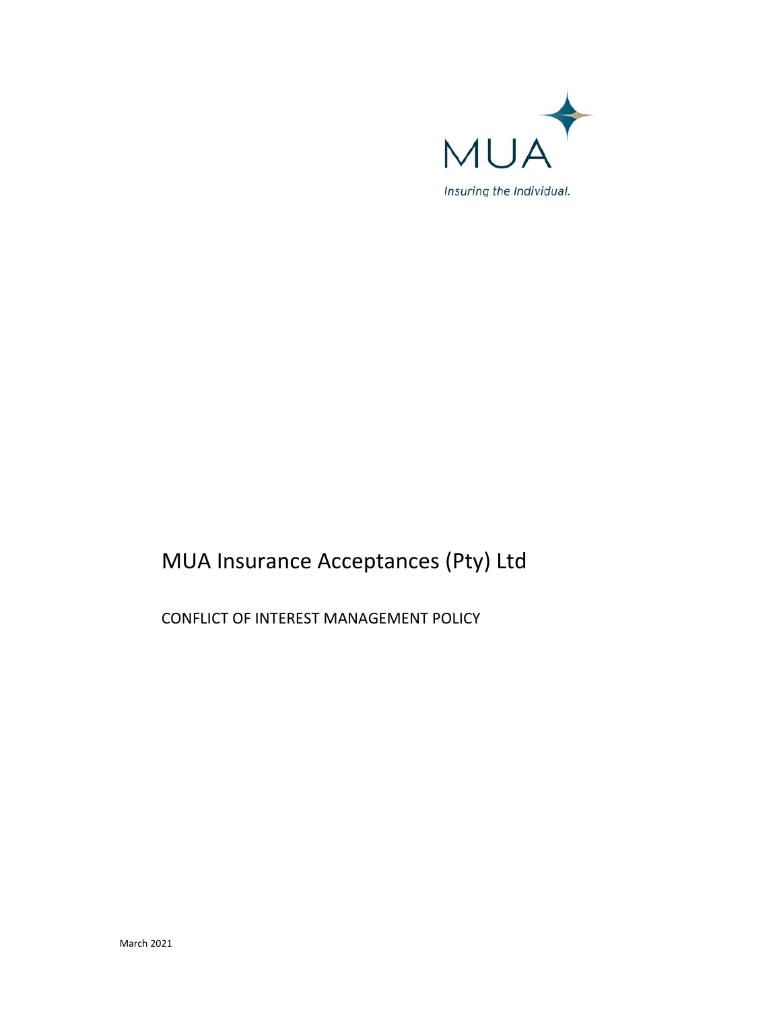

# MUA Insurance Acceptances (Pty) Ltd

CONFLICT OF INTEREST MANAGEMENT POLICY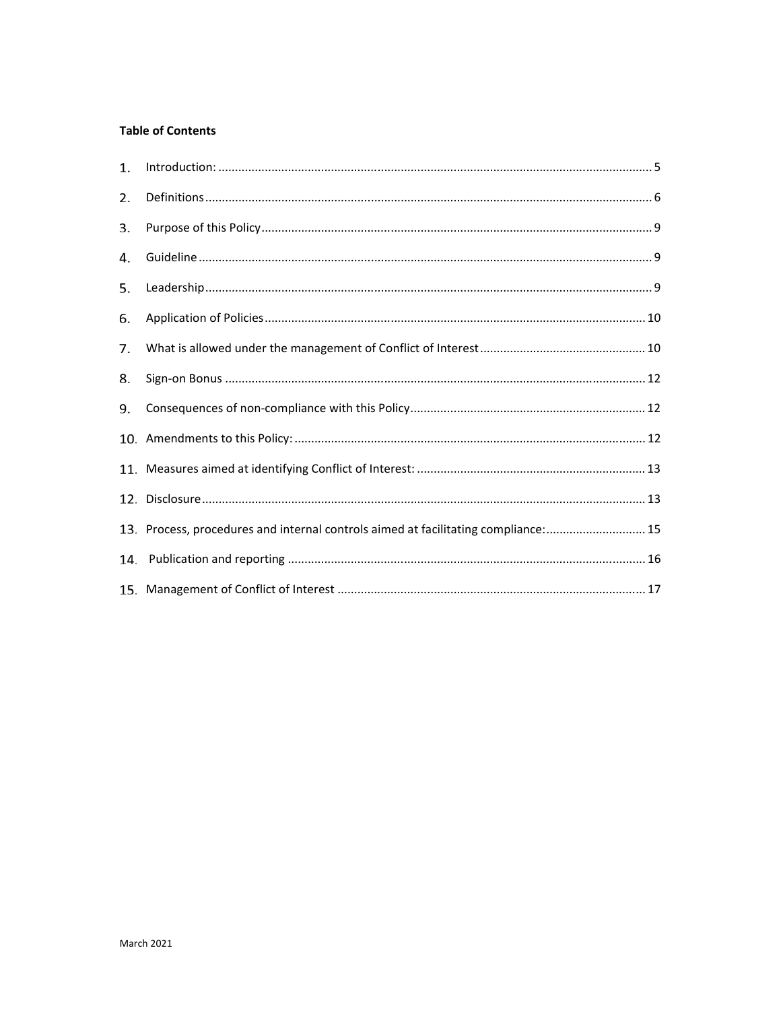# **Table of Contents**

| 1.  |                                                                                    |  |
|-----|------------------------------------------------------------------------------------|--|
| 2.  |                                                                                    |  |
| 3.  |                                                                                    |  |
| 4.  |                                                                                    |  |
| 5.  |                                                                                    |  |
| 6.  |                                                                                    |  |
| 7.  |                                                                                    |  |
| 8.  |                                                                                    |  |
| 9.  |                                                                                    |  |
|     |                                                                                    |  |
|     |                                                                                    |  |
|     |                                                                                    |  |
|     | 13. Process, procedures and internal controls aimed at facilitating compliance: 15 |  |
| 14. |                                                                                    |  |
|     |                                                                                    |  |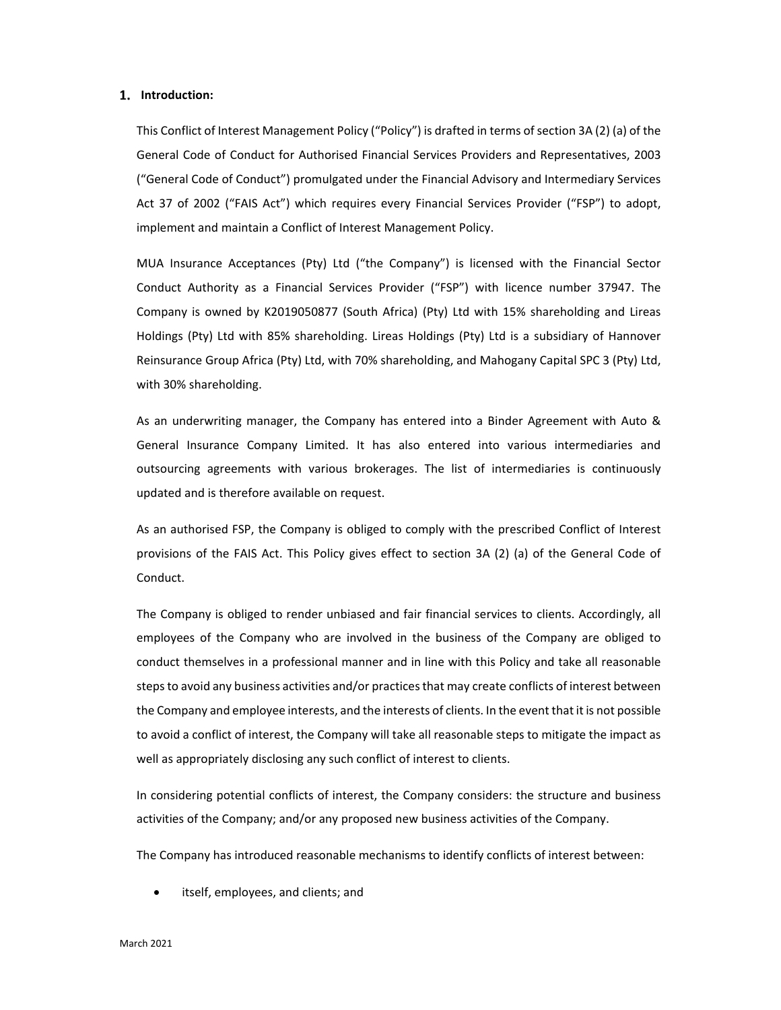#### **Introduction:**

This Conflict of Interest Management Policy ("Policy") is drafted in terms of section 3A (2) (a) of the General Code of Conduct for Authorised Financial Services Providers and Representatives, 2003 ("General Code of Conduct") promulgated under the Financial Advisory and Intermediary Services Act 37 of 2002 ("FAIS Act") which requires every Financial Services Provider ("FSP") to adopt, implement and maintain a Conflict of Interest Management Policy.

MUA Insurance Acceptances (Pty) Ltd ("the Company") is licensed with the Financial Sector Conduct Authority as a Financial Services Provider ("FSP") with licence number 37947. The Company is owned by K2019050877 (South Africa) (Pty) Ltd with 15% shareholding and Lireas Holdings (Pty) Ltd with 85% shareholding. Lireas Holdings (Pty) Ltd is a subsidiary of Hannover Reinsurance Group Africa (Pty) Ltd, with 70% shareholding, and Mahogany Capital SPC 3 (Pty) Ltd, with 30% shareholding.

As an underwriting manager, the Company has entered into a Binder Agreement with Auto & General Insurance Company Limited. It has also entered into various intermediaries and outsourcing agreements with various brokerages. The list of intermediaries is continuously updated and is therefore available on request.

As an authorised FSP, the Company is obliged to comply with the prescribed Conflict of Interest provisions of the FAIS Act. This Policy gives effect to section 3A (2) (a) of the General Code of Conduct.

The Company is obliged to render unbiased and fair financial services to clients. Accordingly, all employees of the Company who are involved in the business of the Company are obliged to conduct themselves in a professional manner and in line with this Policy and take all reasonable steps to avoid any business activities and/or practices that may create conflicts of interest between the Company and employee interests, and the interests of clients. In the event that it is not possible to avoid a conflict of interest, the Company will take all reasonable steps to mitigate the impact as well as appropriately disclosing any such conflict of interest to clients.

In considering potential conflicts of interest, the Company considers: the structure and business activities of the Company; and/or any proposed new business activities of the Company.

The Company has introduced reasonable mechanisms to identify conflicts of interest between:

itself, employees, and clients; and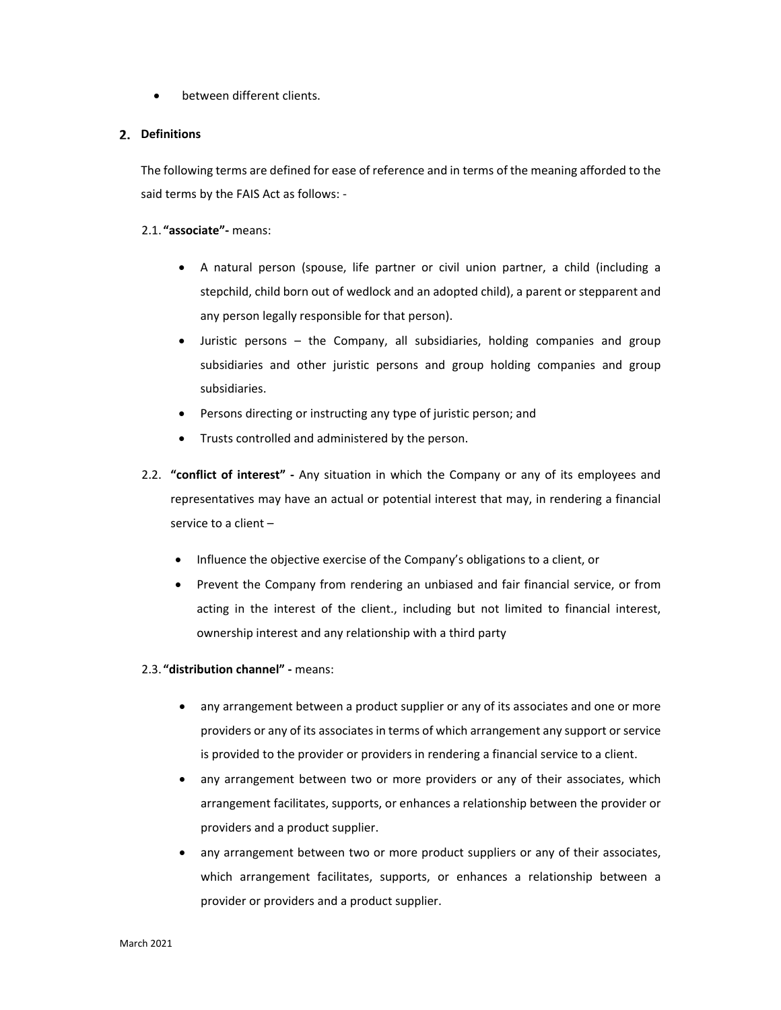between different clients.

# **Definitions**

The following terms are defined for ease of reference and in terms of the meaning afforded to the said terms by the FAIS Act as follows: ‐

# 2.1. **"associate"‐** means:

- A natural person (spouse, life partner or civil union partner, a child (including a stepchild, child born out of wedlock and an adopted child), a parent or stepparent and any person legally responsible for that person).
- Juristic persons the Company, all subsidiaries, holding companies and group subsidiaries and other juristic persons and group holding companies and group subsidiaries.
- Persons directing or instructing any type of juristic person; and
- Trusts controlled and administered by the person.
- 2.2. **"conflict of interest"** Any situation in which the Company or any of its employees and representatives may have an actual or potential interest that may, in rendering a financial service to a client –
	- Influence the objective exercise of the Company's obligations to a client, or
	- Prevent the Company from rendering an unbiased and fair financial service, or from acting in the interest of the client., including but not limited to financial interest, ownership interest and any relationship with a third party
- 2.3. **"distribution channel" ‐** means:
	- any arrangement between a product supplier or any of its associates and one or more providers or any of its associates in terms of which arrangement any support or service is provided to the provider or providers in rendering a financial service to a client.
	- any arrangement between two or more providers or any of their associates, which arrangement facilitates, supports, or enhances a relationship between the provider or providers and a product supplier.
	- any arrangement between two or more product suppliers or any of their associates, which arrangement facilitates, supports, or enhances a relationship between a provider or providers and a product supplier.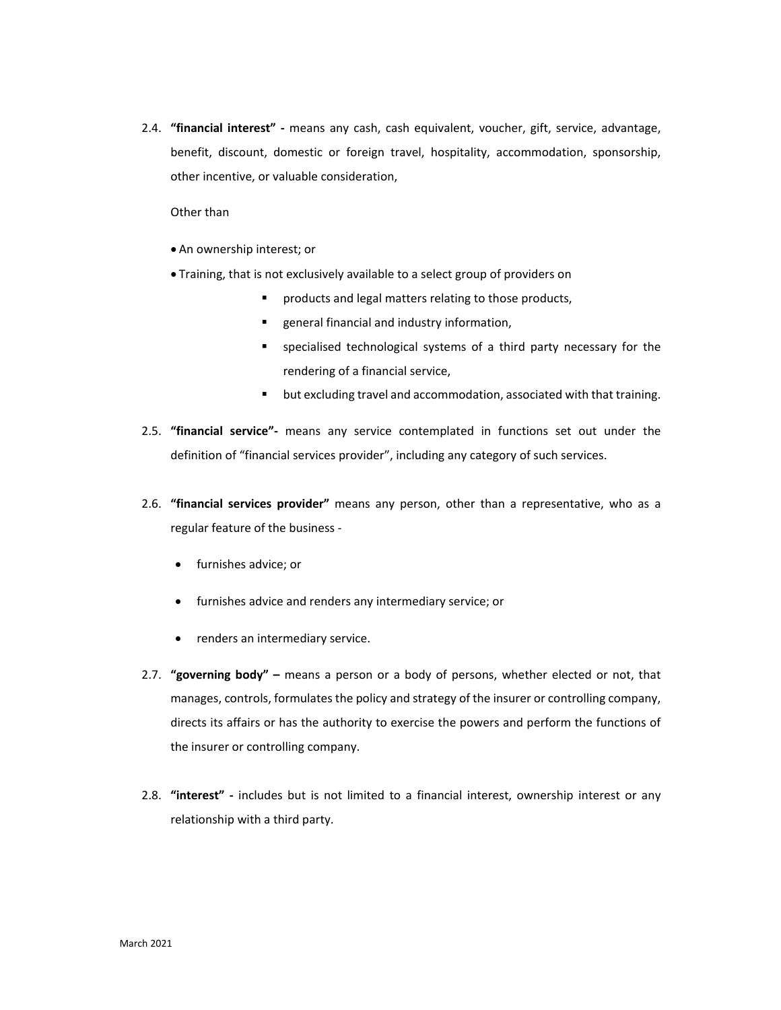2.4. **"financial interest" ‐** means any cash, cash equivalent, voucher, gift, service, advantage, benefit, discount, domestic or foreign travel, hospitality, accommodation, sponsorship, other incentive, or valuable consideration,

Other than

- An ownership interest; or
- Training, that is not exclusively available to a select group of providers on
	- **PEDIMENA FIGHT PRODUCTS** relating to those products,
	- **EXE** general financial and industry information,
	- specialised technological systems of a third party necessary for the rendering of a financial service,
	- but excluding travel and accommodation, associated with that training.
- 2.5. **"financial service"‐**  means any service contemplated in functions set out under the definition of "financial services provider", including any category of such services.
- 2.6. **"financial services provider"**  means any person, other than a representative, who as a regular feature of the business ‐
	- furnishes advice; or
	- furnishes advice and renders any intermediary service; or
	- renders an intermediary service.
- 2.7. **"governing body"** means a person or a body of persons, whether elected or not, that manages, controls, formulates the policy and strategy of the insurer or controlling company, directs its affairs or has the authority to exercise the powers and perform the functions of the insurer or controlling company.
- 2.8. **"interest"** includes but is not limited to a financial interest, ownership interest or any relationship with a third party.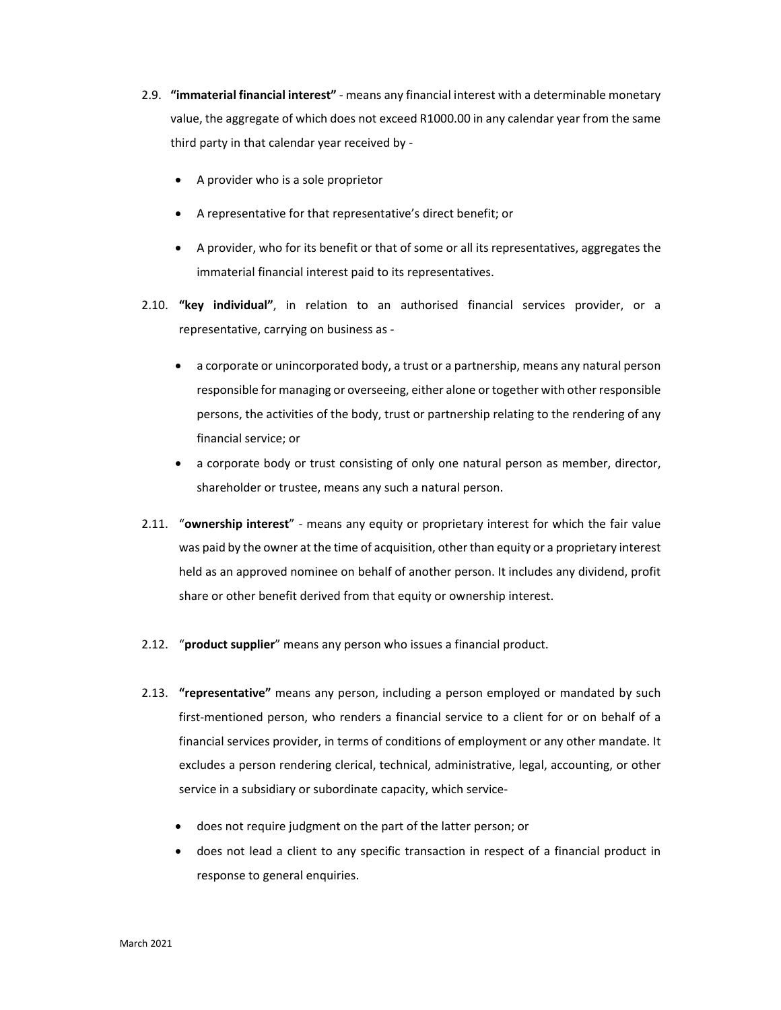- 2.9. **"immaterial financial interest"** ‐ means any financial interest with a determinable monetary value, the aggregate of which does not exceed R1000.00 in any calendar year from the same third party in that calendar year received by ‐
	- A provider who is a sole proprietor
	- A representative for that representative's direct benefit; or
	- A provider, who for its benefit or that of some or all its representatives, aggregates the immaterial financial interest paid to its representatives.
- 2.10. **"key individual"**, in relation to an authorised financial services provider, or a representative, carrying on business as ‐
	- a corporate or unincorporated body, a trust or a partnership, means any natural person responsible for managing or overseeing, either alone or together with other responsible persons, the activities of the body, trust or partnership relating to the rendering of any financial service; or
	- a corporate body or trust consisting of only one natural person as member, director, shareholder or trustee, means any such a natural person.
- 2.11. "**ownership interest**" ‐ means any equity or proprietary interest for which the fair value was paid by the owner at the time of acquisition, other than equity or a proprietary interest held as an approved nominee on behalf of another person. It includes any dividend, profit share or other benefit derived from that equity or ownership interest.
- 2.12. "**product supplier**" means any person who issues a financial product.
- 2.13. **"representative"** means any person, including a person employed or mandated by such first-mentioned person, who renders a financial service to a client for or on behalf of a financial services provider, in terms of conditions of employment or any other mandate. It excludes a person rendering clerical, technical, administrative, legal, accounting, or other service in a subsidiary or subordinate capacity, which service‐
	- does not require judgment on the part of the latter person; or
	- does not lead a client to any specific transaction in respect of a financial product in response to general enquiries.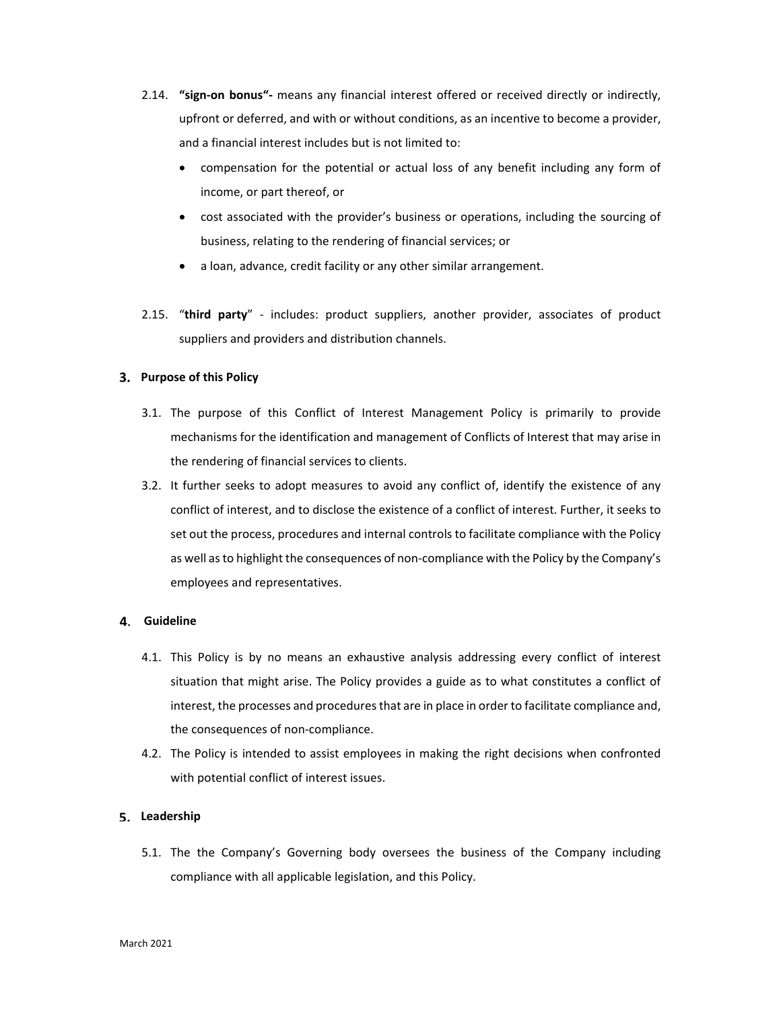- 2.14. **"sign‐on bonus"‐** means any financial interest offered or received directly or indirectly, upfront or deferred, and with or without conditions, as an incentive to become a provider, and a financial interest includes but is not limited to:
	- compensation for the potential or actual loss of any benefit including any form of income, or part thereof, or
	- cost associated with the provider's business or operations, including the sourcing of business, relating to the rendering of financial services; or
	- a loan, advance, credit facility or any other similar arrangement.
- 2.15. "third party" includes: product suppliers, another provider, associates of product suppliers and providers and distribution channels.

# **Purpose of this Policy**

- 3.1. The purpose of this Conflict of Interest Management Policy is primarily to provide mechanisms for the identification and management of Conflicts of Interest that may arise in the rendering of financial services to clients.
- 3.2. It further seeks to adopt measures to avoid any conflict of, identify the existence of any conflict of interest, and to disclose the existence of a conflict of interest. Further, it seeks to set out the process, procedures and internal controls to facilitate compliance with the Policy as well as to highlight the consequences of non-compliance with the Policy by the Company's employees and representatives.

## **Guideline**

- 4.1. This Policy is by no means an exhaustive analysis addressing every conflict of interest situation that might arise. The Policy provides a guide as to what constitutes a conflict of interest, the processes and procedures that are in place in order to facilitate compliance and, the consequences of non‐compliance.
- 4.2. The Policy is intended to assist employees in making the right decisions when confronted with potential conflict of interest issues.

# **Leadership**

5.1. The the Company's Governing body oversees the business of the Company including compliance with all applicable legislation, and this Policy.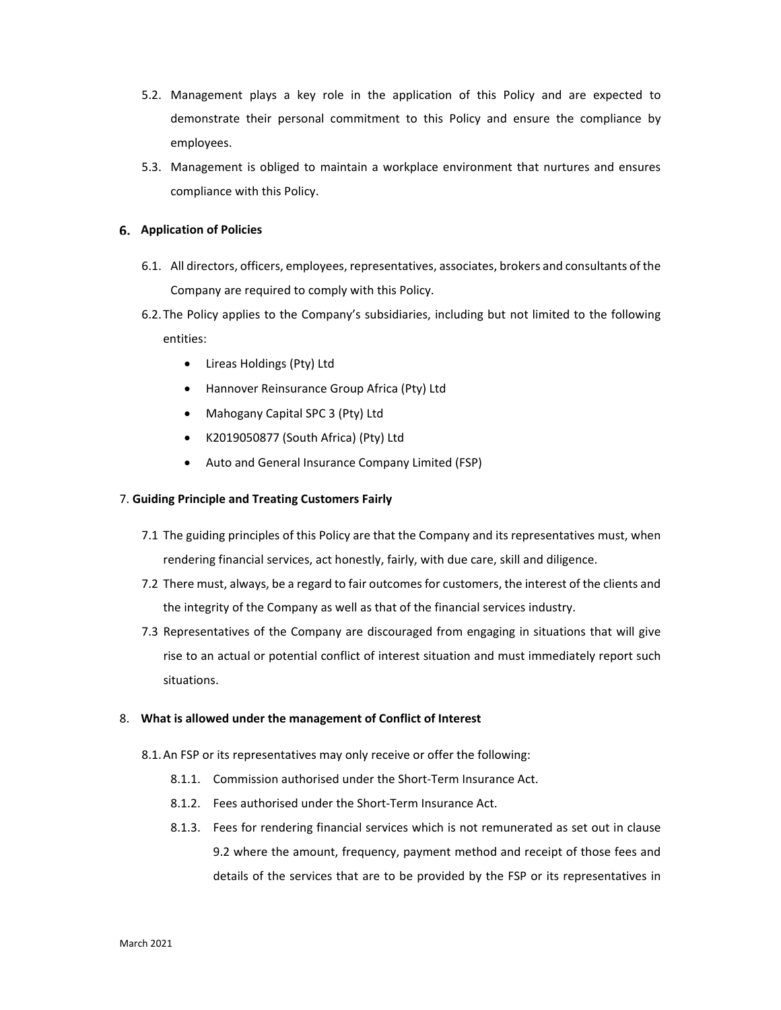- 5.2. Management plays a key role in the application of this Policy and are expected to demonstrate their personal commitment to this Policy and ensure the compliance by employees.
- 5.3. Management is obliged to maintain a workplace environment that nurtures and ensures compliance with this Policy.

# **Application of Policies**

- 6.1. All directors, officers, employees, representatives, associates, brokers and consultants of the Company are required to comply with this Policy.
- 6.2.The Policy applies to the Company's subsidiaries, including but not limited to the following entities:
	- Lireas Holdings (Pty) Ltd
	- Hannover Reinsurance Group Africa (Pty) Ltd
	- Mahogany Capital SPC 3 (Pty) Ltd
	- K2019050877 (South Africa) (Pty) Ltd
	- Auto and General Insurance Company Limited (FSP)

# 7. **Guiding Principle and Treating Customers Fairly**

- 7.1 The guiding principles of this Policy are that the Company and its representatives must, when rendering financial services, act honestly, fairly, with due care, skill and diligence.
- 7.2 There must, always, be a regard to fair outcomes for customers, the interest of the clients and the integrity of the Company as well as that of the financial services industry.
- 7.3 Representatives of the Company are discouraged from engaging in situations that will give rise to an actual or potential conflict of interest situation and must immediately report such situations.

## 8. **What is allowed under the management of Conflict of Interest**

- 8.1.An FSP or its representatives may only receive or offer the following:
	- 8.1.1. Commission authorised under the Short‐Term Insurance Act.
	- 8.1.2. Fees authorised under the Short‐Term Insurance Act.
	- 8.1.3. Fees for rendering financial services which is not remunerated as set out in clause 9.2 where the amount, frequency, payment method and receipt of those fees and details of the services that are to be provided by the FSP or its representatives in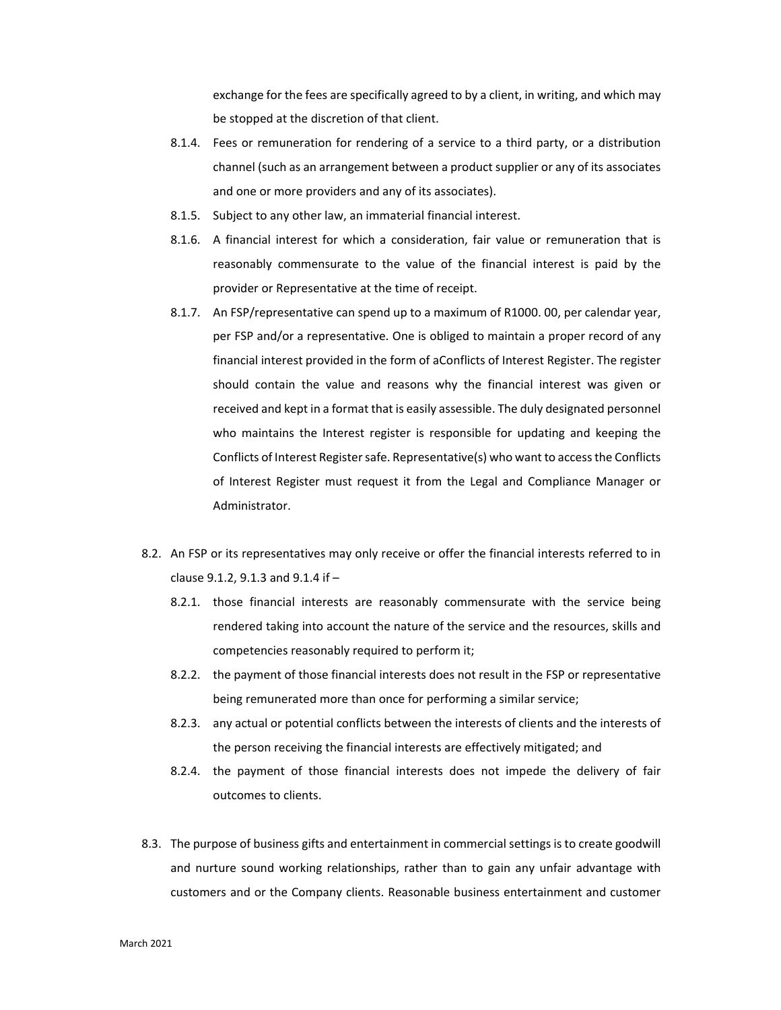exchange for the fees are specifically agreed to by a client, in writing, and which may be stopped at the discretion of that client.

- 8.1.4. Fees or remuneration for rendering of a service to a third party, or a distribution channel (such as an arrangement between a product supplier or any of its associates and one or more providers and any of its associates).
- 8.1.5. Subject to any other law, an immaterial financial interest.
- 8.1.6. A financial interest for which a consideration, fair value or remuneration that is reasonably commensurate to the value of the financial interest is paid by the provider or Representative at the time of receipt.
- 8.1.7. An FSP/representative can spend up to a maximum of R1000. 00, per calendar year, per FSP and/or a representative. One is obliged to maintain a proper record of any financial interest provided in the form of aConflicts of Interest Register. The register should contain the value and reasons why the financial interest was given or received and kept in a format that is easily assessible. The duly designated personnel who maintains the Interest register is responsible for updating and keeping the Conflicts of Interest Register safe. Representative(s) who want to access the Conflicts of Interest Register must request it from the Legal and Compliance Manager or Administrator.
- 8.2. An FSP or its representatives may only receive or offer the financial interests referred to in clause 9.1.2, 9.1.3 and 9.1.4 if –
	- 8.2.1. those financial interests are reasonably commensurate with the service being rendered taking into account the nature of the service and the resources, skills and competencies reasonably required to perform it;
	- 8.2.2. the payment of those financial interests does not result in the FSP or representative being remunerated more than once for performing a similar service;
	- 8.2.3. any actual or potential conflicts between the interests of clients and the interests of the person receiving the financial interests are effectively mitigated; and
	- 8.2.4. the payment of those financial interests does not impede the delivery of fair outcomes to clients.
- 8.3. The purpose of business gifts and entertainment in commercial settings is to create goodwill and nurture sound working relationships, rather than to gain any unfair advantage with customers and or the Company clients. Reasonable business entertainment and customer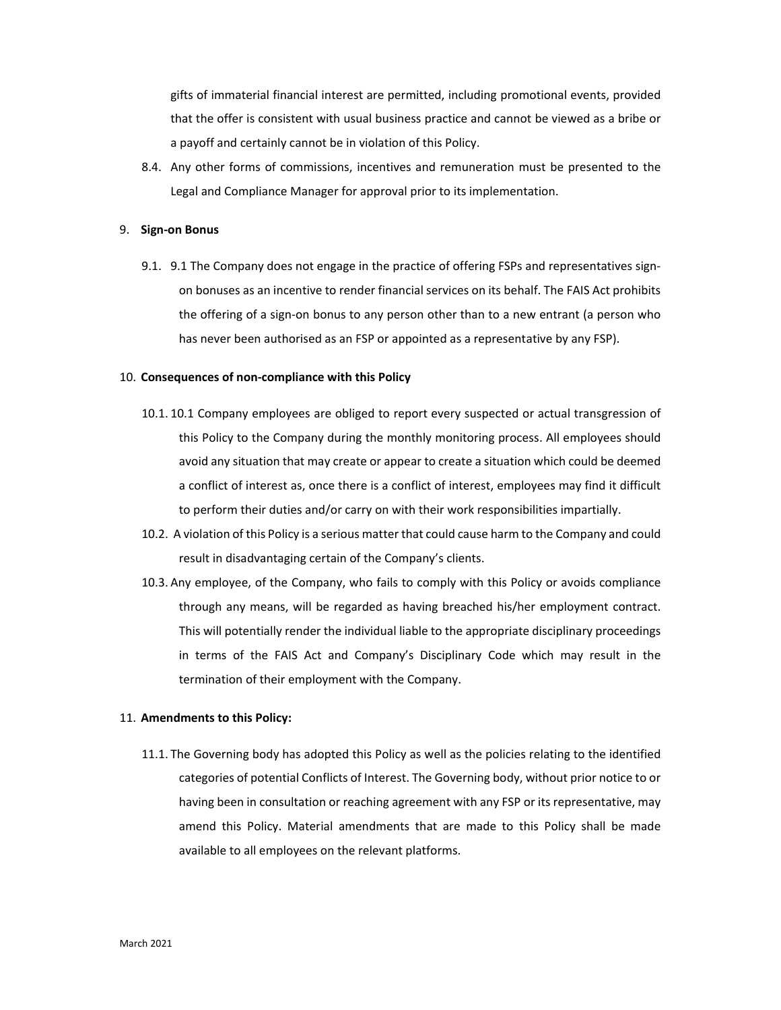gifts of immaterial financial interest are permitted, including promotional events, provided that the offer is consistent with usual business practice and cannot be viewed as a bribe or a payoff and certainly cannot be in violation of this Policy.

8.4. Any other forms of commissions, incentives and remuneration must be presented to the Legal and Compliance Manager for approval prior to its implementation.

#### 9. **Sign‐on Bonus**

9.1. 9.1 The Company does not engage in the practice of offering FSPs and representatives signon bonuses as an incentive to render financial services on its behalf. The FAIS Act prohibits the offering of a sign-on bonus to any person other than to a new entrant (a person who has never been authorised as an FSP or appointed as a representative by any FSP).

## 10. **Consequences of non‐compliance with this Policy**

- 10.1. 10.1 Company employees are obliged to report every suspected or actual transgression of this Policy to the Company during the monthly monitoring process. All employees should avoid any situation that may create or appear to create a situation which could be deemed a conflict of interest as, once there is a conflict of interest, employees may find it difficult to perform their duties and/or carry on with their work responsibilities impartially.
- 10.2. A violation of this Policy is a serious matter that could cause harm to the Company and could result in disadvantaging certain of the Company's clients.
- 10.3. Any employee, of the Company, who fails to comply with this Policy or avoids compliance through any means, will be regarded as having breached his/her employment contract. This will potentially render the individual liable to the appropriate disciplinary proceedings in terms of the FAIS Act and Company's Disciplinary Code which may result in the termination of their employment with the Company.

#### 11. **Amendments to this Policy:**

11.1. The Governing body has adopted this Policy as well as the policies relating to the identified categories of potential Conflicts of Interest. The Governing body, without prior notice to or having been in consultation or reaching agreement with any FSP or its representative, may amend this Policy. Material amendments that are made to this Policy shall be made available to all employees on the relevant platforms.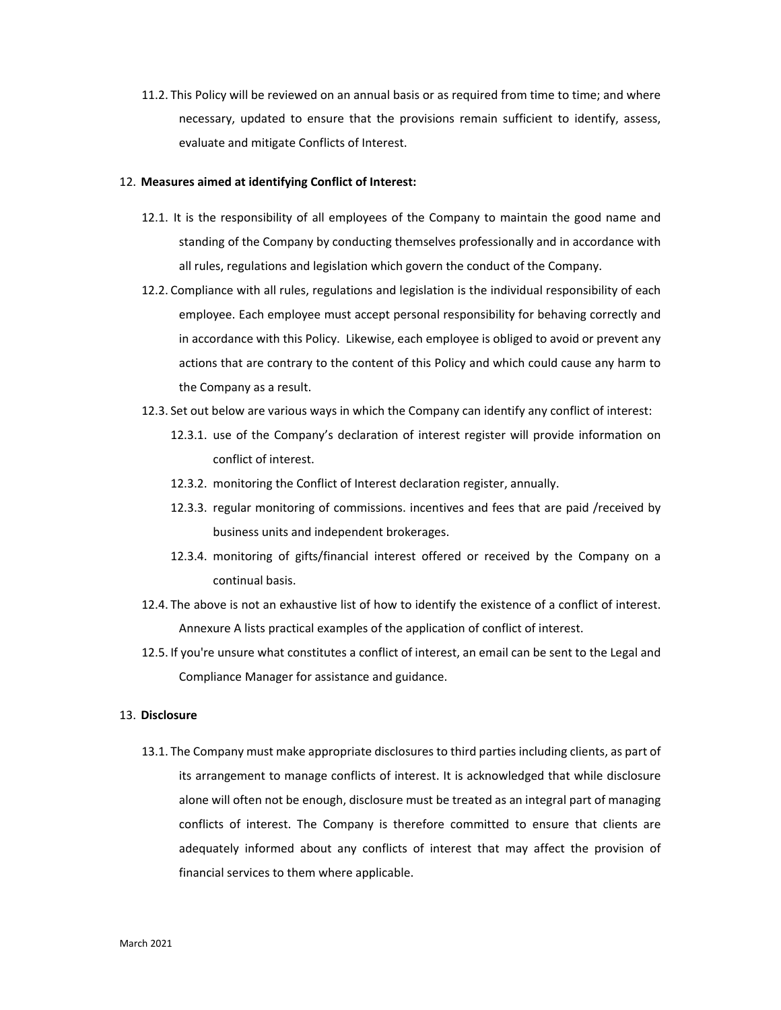11.2. This Policy will be reviewed on an annual basis or as required from time to time; and where necessary, updated to ensure that the provisions remain sufficient to identify, assess, evaluate and mitigate Conflicts of Interest.

#### 12. **Measures aimed at identifying Conflict of Interest:**

- 12.1. It is the responsibility of all employees of the Company to maintain the good name and standing of the Company by conducting themselves professionally and in accordance with all rules, regulations and legislation which govern the conduct of the Company.
- 12.2. Compliance with all rules, regulations and legislation is the individual responsibility of each employee. Each employee must accept personal responsibility for behaving correctly and in accordance with this Policy. Likewise, each employee is obliged to avoid or prevent any actions that are contrary to the content of this Policy and which could cause any harm to the Company as a result.
- 12.3. Set out below are various ways in which the Company can identify any conflict of interest:
	- 12.3.1. use of the Company's declaration of interest register will provide information on conflict of interest.
	- 12.3.2. monitoring the Conflict of Interest declaration register, annually.
	- 12.3.3. regular monitoring of commissions. incentives and fees that are paid /received by business units and independent brokerages.
	- 12.3.4. monitoring of gifts/financial interest offered or received by the Company on a continual basis.
- 12.4. The above is not an exhaustive list of how to identify the existence of a conflict of interest. Annexure A lists practical examples of the application of conflict of interest.
- 12.5. If you're unsure what constitutes a conflict of interest, an email can be sent to the Legal and Compliance Manager for assistance and guidance.

# 13. **Disclosure**

13.1. The Company must make appropriate disclosures to third parties including clients, as part of its arrangement to manage conflicts of interest. It is acknowledged that while disclosure alone will often not be enough, disclosure must be treated as an integral part of managing conflicts of interest. The Company is therefore committed to ensure that clients are adequately informed about any conflicts of interest that may affect the provision of financial services to them where applicable.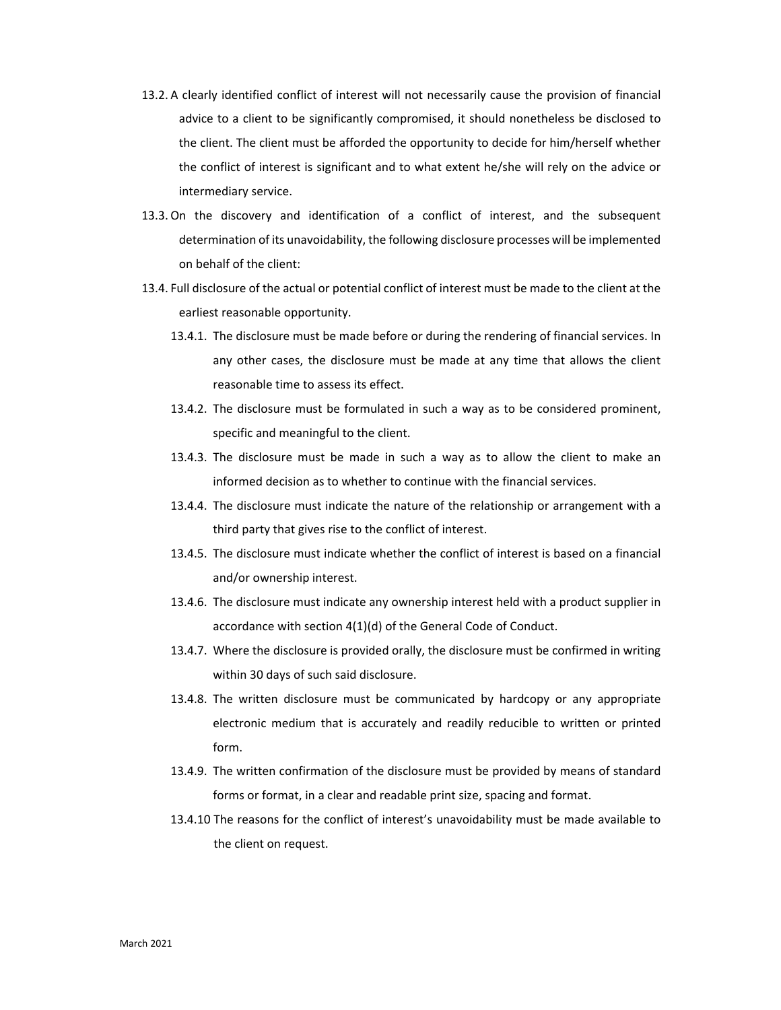- 13.2. A clearly identified conflict of interest will not necessarily cause the provision of financial advice to a client to be significantly compromised, it should nonetheless be disclosed to the client. The client must be afforded the opportunity to decide for him/herself whether the conflict of interest is significant and to what extent he/she will rely on the advice or intermediary service.
- 13.3. On the discovery and identification of a conflict of interest, and the subsequent determination of its unavoidability, the following disclosure processes will be implemented on behalf of the client:
- 13.4. Full disclosure of the actual or potential conflict of interest must be made to the client at the earliest reasonable opportunity.
	- 13.4.1. The disclosure must be made before or during the rendering of financial services. In any other cases, the disclosure must be made at any time that allows the client reasonable time to assess its effect.
	- 13.4.2. The disclosure must be formulated in such a way as to be considered prominent, specific and meaningful to the client.
	- 13.4.3. The disclosure must be made in such a way as to allow the client to make an informed decision as to whether to continue with the financial services.
	- 13.4.4. The disclosure must indicate the nature of the relationship or arrangement with a third party that gives rise to the conflict of interest.
	- 13.4.5. The disclosure must indicate whether the conflict of interest is based on a financial and/or ownership interest.
	- 13.4.6. The disclosure must indicate any ownership interest held with a product supplier in accordance with section 4(1)(d) of the General Code of Conduct.
	- 13.4.7. Where the disclosure is provided orally, the disclosure must be confirmed in writing within 30 days of such said disclosure.
	- 13.4.8. The written disclosure must be communicated by hardcopy or any appropriate electronic medium that is accurately and readily reducible to written or printed form.
	- 13.4.9. The written confirmation of the disclosure must be provided by means of standard forms or format, in a clear and readable print size, spacing and format.
	- 13.4.10 The reasons for the conflict of interest's unavoidability must be made available to the client on request.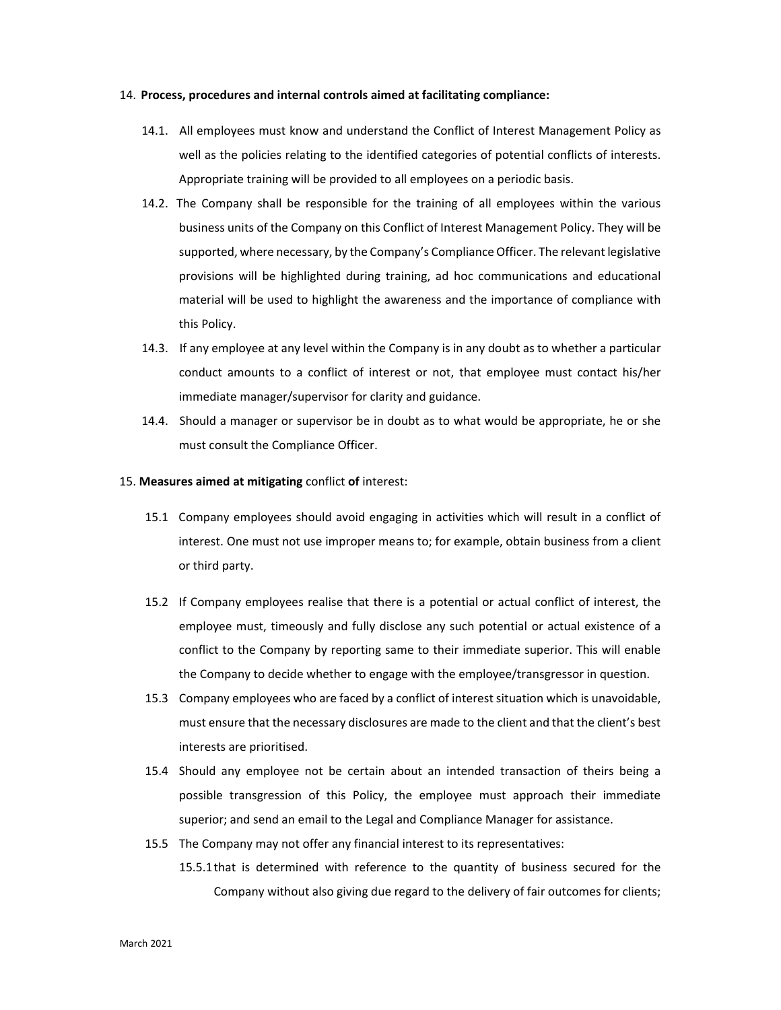#### 14. **Process, procedures and internal controls aimed at facilitating compliance:**

- 14.1. All employees must know and understand the Conflict of Interest Management Policy as well as the policies relating to the identified categories of potential conflicts of interests. Appropriate training will be provided to all employees on a periodic basis.
- 14.2. The Company shall be responsible for the training of all employees within the various business units of the Company on this Conflict of Interest Management Policy. They will be supported, where necessary, by the Company's Compliance Officer. The relevant legislative provisions will be highlighted during training, ad hoc communications and educational material will be used to highlight the awareness and the importance of compliance with this Policy.
- 14.3. If any employee at any level within the Company is in any doubt as to whether a particular conduct amounts to a conflict of interest or not, that employee must contact his/her immediate manager/supervisor for clarity and guidance.
- 14.4. Should a manager or supervisor be in doubt as to what would be appropriate, he or she must consult the Compliance Officer.
- 15. **Measures aimed at mitigating** conflict **of** interest:
	- 15.1 Company employees should avoid engaging in activities which will result in a conflict of interest. One must not use improper means to; for example, obtain business from a client or third party.
	- 15.2 If Company employees realise that there is a potential or actual conflict of interest, the employee must, timeously and fully disclose any such potential or actual existence of a conflict to the Company by reporting same to their immediate superior. This will enable the Company to decide whether to engage with the employee/transgressor in question.
	- 15.3 Company employees who are faced by a conflict of interest situation which is unavoidable, must ensure that the necessary disclosures are made to the client and that the client's best interests are prioritised.
	- 15.4 Should any employee not be certain about an intended transaction of theirs being a possible transgression of this Policy, the employee must approach their immediate superior; and send an email to the Legal and Compliance Manager for assistance.
	- 15.5 The Company may not offer any financial interest to its representatives:
		- 15.5.1that is determined with reference to the quantity of business secured for the Company without also giving due regard to the delivery of fair outcomes for clients;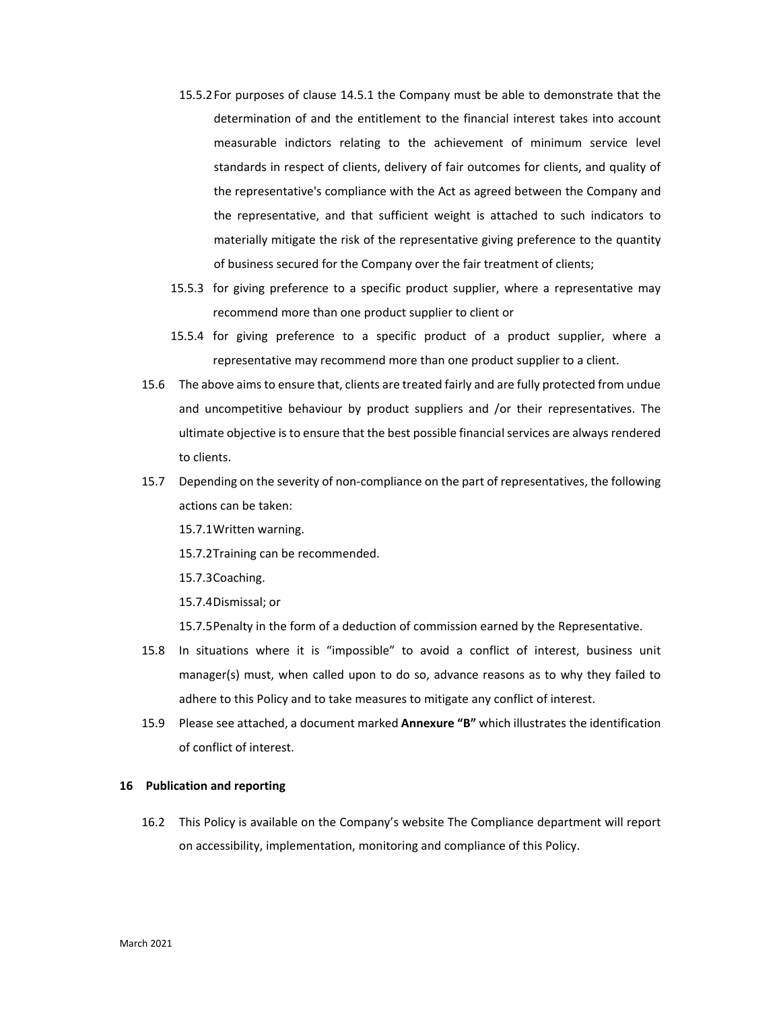- 15.5.2For purposes of clause 14.5.1 the Company must be able to demonstrate that the determination of and the entitlement to the financial interest takes into account measurable indictors relating to the achievement of minimum service level standards in respect of clients, delivery of fair outcomes for clients, and quality of the representative's compliance with the Act as agreed between the Company and the representative, and that sufficient weight is attached to such indicators to materially mitigate the risk of the representative giving preference to the quantity of business secured for the Company over the fair treatment of clients;
- 15.5.3 for giving preference to a specific product supplier, where a representative may recommend more than one product supplier to client or
- 15.5.4 for giving preference to a specific product of a product supplier, where a representative may recommend more than one product supplier to a client.
- 15.6 The above aims to ensure that, clients are treated fairly and are fully protected from undue and uncompetitive behaviour by product suppliers and /or their representatives. The ultimate objective is to ensure that the best possible financial services are always rendered to clients.
- 15.7 Depending on the severity of non-compliance on the part of representatives, the following actions can be taken:
	- 15.7.1Written warning.
	- 15.7.2Training can be recommended.
	- 15.7.3Coaching.
	- 15.7.4Dismissal; or
	- 15.7.5Penalty in the form of a deduction of commission earned by the Representative.
- 15.8 In situations where it is "impossible" to avoid a conflict of interest, business unit manager(s) must, when called upon to do so, advance reasons as to why they failed to adhere to this Policy and to take measures to mitigate any conflict of interest.
- 15.9 Please see attached, a document marked **Annexure "B"** which illustrates the identification of conflict of interest.

## **16 Publication and reporting**

16.2 This Policy is available on the Company's website The Compliance department will report on accessibility, implementation, monitoring and compliance of this Policy.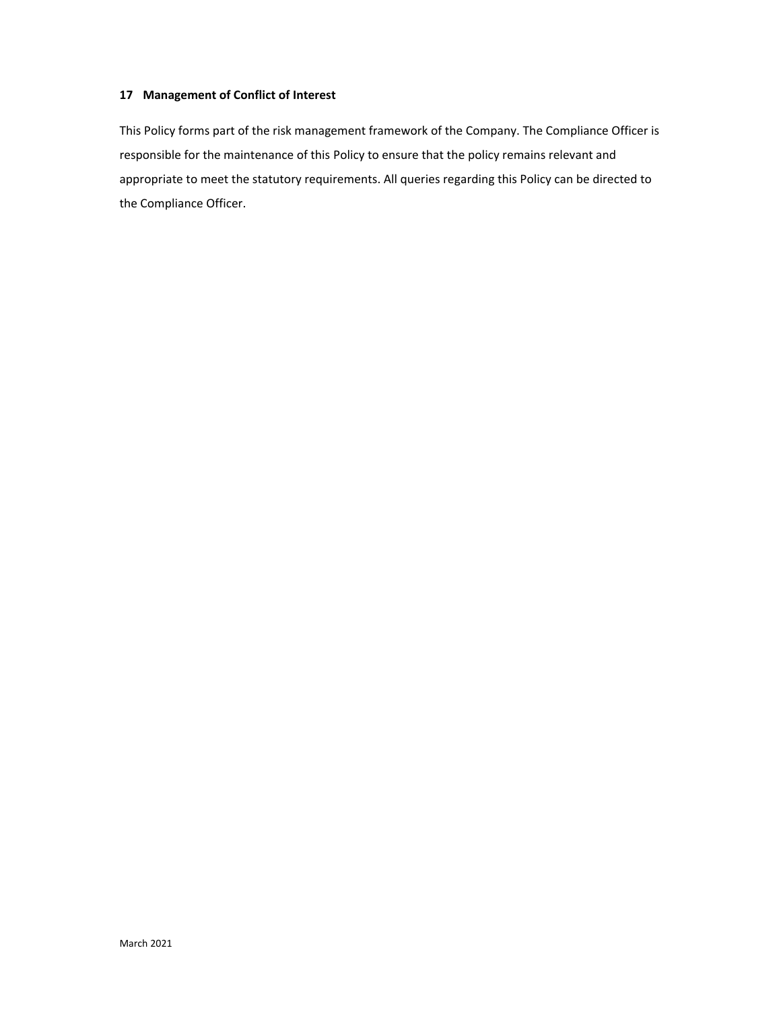# **17 Management of Conflict of Interest**

This Policy forms part of the risk management framework of the Company. The Compliance Officer is responsible for the maintenance of this Policy to ensure that the policy remains relevant and appropriate to meet the statutory requirements. All queries regarding this Policy can be directed to the Compliance Officer.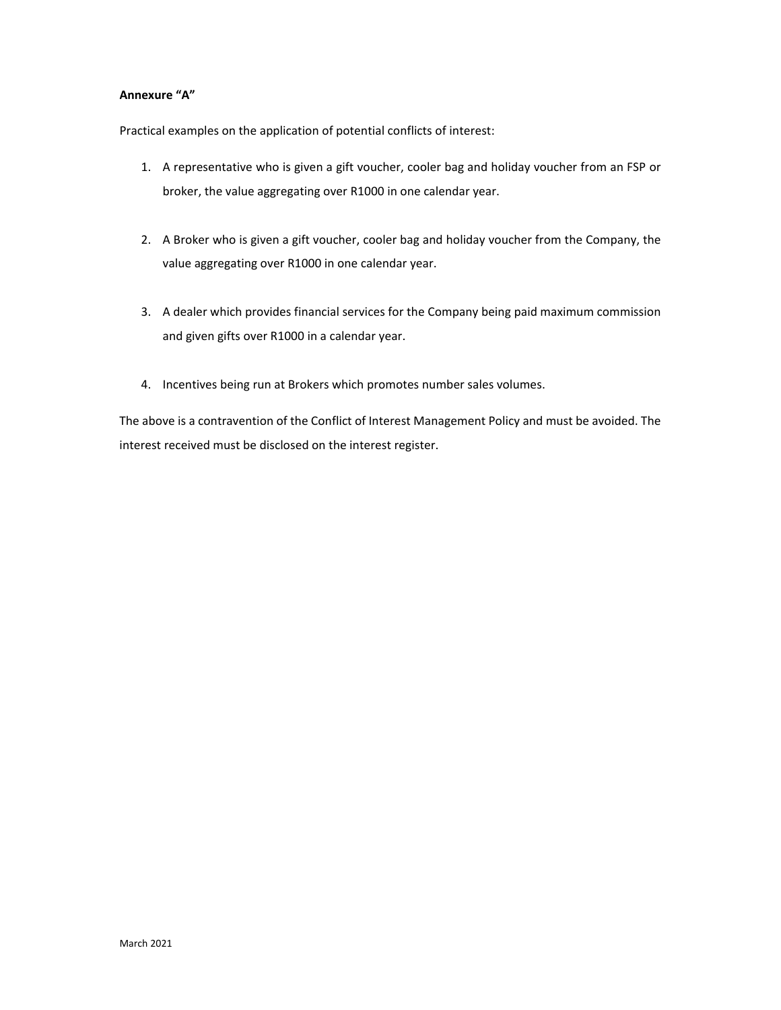# **Annexure "A"**

Practical examples on the application of potential conflicts of interest:

- 1. A representative who is given a gift voucher, cooler bag and holiday voucher from an FSP or broker, the value aggregating over R1000 in one calendar year.
- 2. A Broker who is given a gift voucher, cooler bag and holiday voucher from the Company, the value aggregating over R1000 in one calendar year.
- 3. A dealer which provides financial services for the Company being paid maximum commission and given gifts over R1000 in a calendar year.
- 4. Incentives being run at Brokers which promotes number sales volumes.

The above is a contravention of the Conflict of Interest Management Policy and must be avoided. The interest received must be disclosed on the interest register.